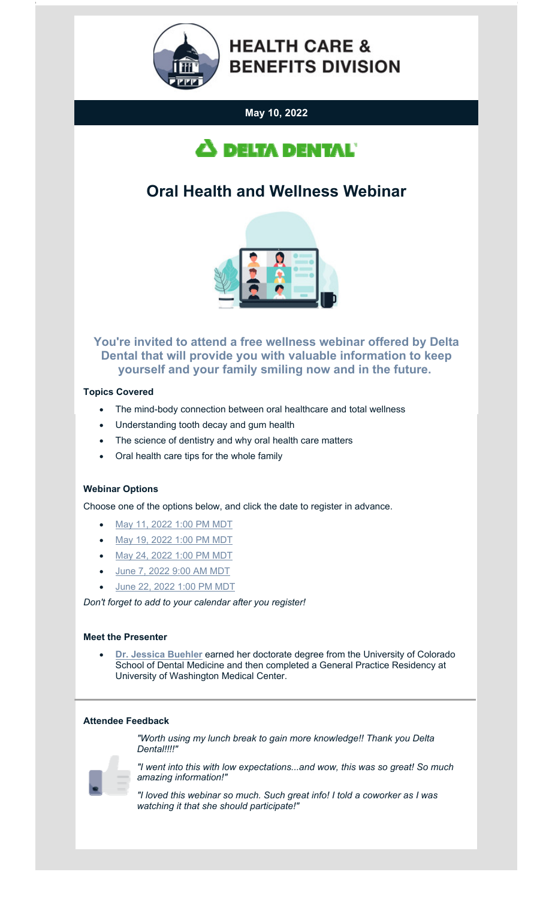

# **HEALTH CARE & BENEFITS DIVISION**

## **May 10, 2022**



# **Oral Health and Wellness Webinar**



### **You're invited to attend a free wellness webinar offered by Delta Dental that will provide you with valuable information to keep yourself and your family smiling now and in the future.**

#### **Topics Covered**

- The mind-body connection between oral healthcare and total wellness
- Understanding tooth decay and gum health
- The science of dentistry and why oral health care matters
- Oral health care tips for the whole family

#### **Webinar Options**

Choose one of the options below, and click the date to register in advance.

- [May 11, 2022 1:00 PM MDT](https://urldefense.com/v3/__https:/deltadentalins.zoom.us/webinar/register/WN_DlRzEB72T0CsfUbD0Uytww__;!!GaaboA!5KhHLEyVU9znOLLp80v_PvQMZx-vugZVZk7euuzB1CkN2aVaFXnBXlWFf0tLEQ$)
- [May 19, 2022 1:00 PM MDT](https://urldefense.com/v3/__https:/deltadentalins.zoom.us/webinar/register/WN_k32wkZLHQyqF3f1mgkn2Gg__;!!GaaboA!5KhHLEyVU9znOLLp80v_PvQMZx-vugZVZk7euuzB1CkN2aVaFXnBXlWu9uhyfQ$)
- [May 24, 2022 1:00 PM MDT](https://urldefense.com/v3/__https:/deltadentalins.zoom.us/webinar/register/WN_63GSZUq5TCu5XjPjATcXCQ__;!!GaaboA!5KhHLEyVU9znOLLp80v_PvQMZx-vugZVZk7euuzB1CkN2aVaFXnBXlXxcoF8-w$)
- [June 7, 2022 9:00 AM MDT](https://urldefense.com/v3/__https:/deltadentalins.zoom.us/webinar/register/WN_aqFXj9lNRL6f9bkjS54nhg__;!!GaaboA!5KhHLEyVU9znOLLp80v_PvQMZx-vugZVZk7euuzB1CkN2aVaFXnBXlUUTFgm9Q$)
- [June 22, 2022 1:00 PM MDT](https://urldefense.com/v3/__https:/deltadentalins.zoom.us/webinar/register/WN_qPCJHMWZRM63rKA9u2Imkw__;!!GaaboA!5KhHLEyVU9znOLLp80v_PvQMZx-vugZVZk7euuzB1CkN2aVaFXnBXlWok7-Fiw$)

*Don't forget to add to your calendar after you register!*

#### **Meet the Presenter**

 **[Dr. Jessica Buehler](https://content.govdelivery.com/attachments/MTHCBD/2022/05/03/file_attachments/2148679/Presenter- Dr. Jessica Buehler.pdf)** earned her doctorate degree from the University of Colorado School of Dental Medicine and then completed a General Practice Residency at University of Washington Medical Center.

#### **Attendee Feedback**

*"Worth using my lunch break to gain more knowledge!! Thank you Delta Dental!!!!"*



*"I went into this with low expectations...and wow, this was so great! So much amazing information!"*

*"I loved this webinar so much. Such great info! I told a coworker as I was watching it that she should participate!"*